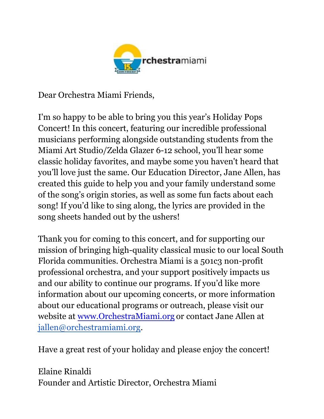

Dear Orchestra Miami Friends,

I'm so happy to be able to bring you this year's Holiday Pops Concert! In this concert, featuring our incredible professional musicians performing alongside outstanding students from the Miami Art Studio/Zelda Glazer 6-12 school, you'll hear some classic holiday favorites, and maybe some you haven't heard that you'll love just the same. Our Education Director, Jane Allen, has created this guide to help you and your family understand some of the song's origin stories, as well as some fun facts about each song! If you'd like to sing along, the lyrics are provided in the song sheets handed out by the ushers!

Thank you for coming to this concert, and for supporting our mission of bringing high-quality classical music to our local South Florida communities. Orchestra Miami is a 501c3 non-profit professional orchestra, and your support positively impacts us and our ability to continue our programs. If you'd like more information about our upcoming concerts, or more information about our educational programs or outreach, please visit our website at [www.OrchestraMiami.org](http://www.orchestramiami.org/) or contact Jane Allen at [jallen@orchestramiami.org.](mailto:jallen@orchestramiami.org)

Have a great rest of your holiday and please enjoy the concert!

Elaine Rinaldi Founder and Artistic Director, Orchestra Miami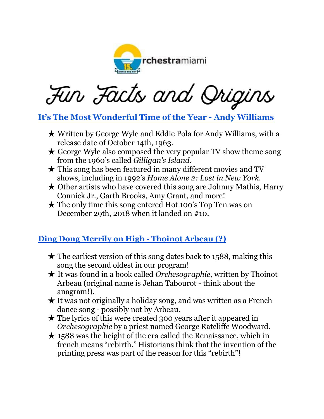

Fin Facts and Origins

#### **[It's The Most Wonderful Time of the Year](https://www.youtube.com/watch?v=AN_R4pR1hck&ab_channel=AndyWilliamsVEVO) - Andy Williams**

- ★ Written by George Wyle and Eddie Pola for Andy Williams, with a release date of October 14th, 1963.
- $\star$  George Wyle also composed the very popular TV show theme song from the 1960's called *Gilligan's Island*.
- $\star$  This song has been featured in many different movies and TV shows, including in 1992's *Home Alone 2: Lost in New York.*
- $\star$  Other artists who have covered this song are Johnny Mathis, Harry Connick Jr., Garth Brooks, Amy Grant, and more!
- ★ The only time this song entered Hot 100's Top Ten was on December 29th, 2018 when it landed on #10.

#### **Ding Dong Merrily on High - [Thoinot](https://www.youtube.com/watch?v=6J_2tKCwu7Q&ab_channel=spiritdei) Arbeau (?)**

- $\star$  The earliest version of this song dates back to 1588, making this song the second oldest in our program!
- ★ It was found in a book called *Orchesographie,* written by Thoinot Arbeau (original name is Jehan Tabourot - think about the anagram!).
- $\star$  It was not originally a holiday song, and was written as a French dance song - possibly not by Arbeau.
- ★ The lyrics of this were created 300 years after it appeared in *Orchesographie* by a priest named George Ratcliffe Woodward.
- $\star$  1588 was the height of the era called the Renaissance, which in french means "rebirth." Historians think that the invention of the printing press was part of the reason for this "rebirth"!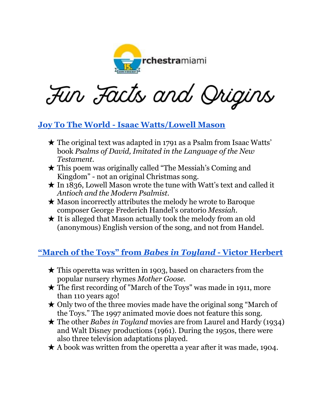

Fin Facts and Origins

#### **Joy To The World - [Isaac Watts/Lowell Mason](https://www.youtube.com/watch?v=30OaM6b48k8&ab_channel=ChristmasSongsandCarols-LovetoSing)**

- $\star$  The original text was adapted in 1791 as a Psalm from Isaac Watts' book *Psalms of David, Imitated in the Language of the New Testament*.
- ★ This poem was originally called "The Messiah's Coming and Kingdom" - not an original Christmas song.
- $\star$  In 1836, Lowell Mason wrote the tune with Watt's text and called it *Antioch and the Modern Psalmist.*
- $\star$  Mason incorrectly attributes the melody he wrote to Baroque composer George Frederich Handel's oratorio *Messiah*.
- $\star$  It is alleged that Mason actually took the melody from an old (anonymous) English version of the song, and not from Handel.

#### **["March of the Toys" from](https://www.youtube.com/watch?v=lUN78LgRfHE&ab_channel=FlashHarry621)** *Babes in Toyland* **- Victor Herbert**

- $\star$  This operetta was written in 1903, based on characters from the popular nursery rhymes *Mother Goose.*
- $\star$  The first recording of "March of the Toys" was made in 1911, more than 110 years ago!
- $\star$  Only two of the three movies made have the original song "March of the Toys." The 1997 animated movie does not feature this song.
- ★ The other *Babes in Toyland* movies are from Laurel and Hardy (1934) and Walt Disney productions (1961). During the 1950s, there were also three television adaptations played.
- $\star$  A book was written from the operetta a year after it was made, 1904.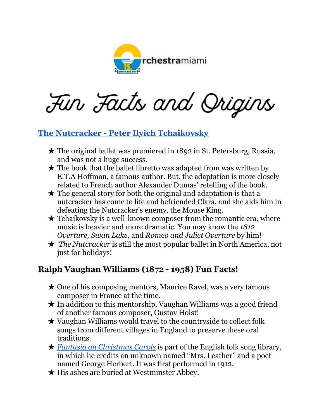

Fin Facts and Origins

#### **The Nutcracker - [Peter Ilyich Tchaikovsky](https://www.youtube.com/watch?v=_Zfd8ew4ccg&ab_channel=HalLeonardConcertBand)**

- ★ The original ballet was premiered in 1892 in St. Petersburg, Russia, and was not a huge success.
- $\star$  The book that the ballet libretto was adapted from was written by E.T.A Hoffman, a famous author. But, the adaptation is more closely related to French author Alexander Dumas' retelling of the book.
- $\star$  The general story for both the original and adaptation is that a nutcracker has come to life and befriended Clara, and she aids him in defeating the Nutcracker's enemy, the Mouse King.
- $\star$  Tchaikovsky is a well-known composer from the romantic era, where music is heavier and more dramatic. You may know the *1812 Overture, Swan Lake,* and *Romeo and Juliet Overture* by him!
- ★ *The Nutcracker* is still the most popular ballet in North America, not just for holidays!

#### **Ralph Vaughan Williams (1872 - 1958) Fun Facts!**

- ★ One of his composing mentors, Maurice Ravel, was a very famous composer in France at the time.
- $\star$  In addition to this mentorship, Vaughan Williams was a good friend of another famous composer, Gustav Holst!
- $\star$  Vaughan Williams would travel to the countryside to collect folk songs from different villages in England to preserve these oral traditions.
- ★ *Fantasia on [Christmas](https://www.youtube.com/watch?v=Ib8LUJkMEjU&ab_channel=LarryGwaltney) Carols* is part of the English folk song library, in which he credits an unknown named "Mrs. Leather" and a poet named George Herbert. It was first performed in 1912.
- ★ His ashes are buried at Westminster Abbey.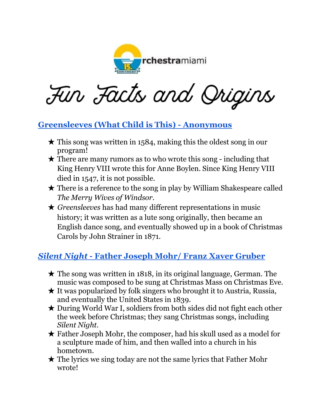

Fin Facts and Origins

#### **[Greensleeves \(What Child is This\) -](https://www.youtube.com/watch?v=tVT5ZERev40&ab_channel=TheSoundsofChristmas-Topic) Anonymous**

- $\star$  This song was written in 1584, making this the oldest song in our program!
- $\star$  There are many rumors as to who wrote this song including that King Henry VIII wrote this for Anne Boylen. Since King Henry VIII died in 1547, it is not possible.
- $\star$  There is a reference to the song in play by William Shakespeare called *The Merry Wives of Windsor.*
- ★ *Greensleeves* has had many different representations in music history; it was written as a lute song originally, then became an English dance song, and eventually showed up in a book of Christmas Carols by John Strainer in 1871.

#### *Silent Night* **- [Father Joseph Mohr/ Franz Xaver Gruber](https://www.youtube.com/watch?v=UNpiQwgStNA&ab_channel=MajestyAndGlory)**

- $\star$  The song was written in 1818, in its original language, German. The music was composed to be sung at Christmas Mass on Christmas Eve.
- $\star$  It was popularized by folk singers who brought it to Austria, Russia, and eventually the United States in 1839.
- ★ During World War I, soldiers from both sides did not fight each other the week before Christmas; they sang Christmas songs, including *Silent Night.*
- ★ Father Joseph Mohr, the composer, had his skull used as a model for a sculpture made of him, and then walled into a church in his hometown.
- $\star$  The lyrics we sing today are not the same lyrics that Father Mohr wrote!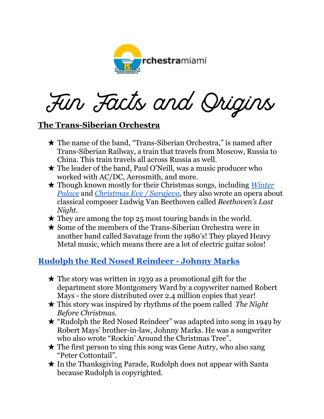

Fin Facts and Origins

#### **The Trans-Siberian Orchestra**

- ★ The name of the band, "Trans-Siberian Orchestra," is named after Trans-Siberian Railway, a train that travels from Moscow, Russia to China. This train travels all across Russia as well.
- ★ The leader of the band, Paul O'Neill, was a music producer who worked with AC/DC, Aerosmith, and more.
- ★ Though known mostly for their Christmas songs, including *[Winter](https://www.youtube.com/watch?v=mqQrrZHd2Lw&ab_channel=TransSiberianVEVO) [Palace](https://www.youtube.com/watch?v=mqQrrZHd2Lw&ab_channel=TransSiberianVEVO)* and *[Christmas](https://www.youtube.com/watch?v=MHioIlbnS_A&ab_channel=Trans-SiberianOrchestra) Eve / Sarajevo,* they also wrote an opera about classical composer Ludwig Van Beethoven called *Beethoven's Last Night.*
- $\star$  They are among the top 25 most touring bands in the world.
- ★ Some of the members of the Trans-Siberian Orchestra were in another band called Savatage from the 1980's! They played Heavy Metal music, which means there are a lot of electric guitar solos!

#### **[Rudolph the Red Nosed Reindeer -](https://www.youtube.com/watch?v=44bL90HP0Ys&ab_channel=GeneAutryVEVO) Johnny Marks**

- $\star$  The story was written in 1939 as a promotional gift for the department store Montgomery Ward by a copywriter named Robert Mays - the store distributed over 2.4 million copies that year!
- ★ This story was inspired by rhythms of the poem called *The Night Before Christmas.*
- ★ "Rudolph the Red Nosed Reindeer" was adapted into song in 1949 by Robert Mays' brother-in-law, Johnny Marks. He was a songwriter who also wrote "Rockin' Around the Christmas Tree".
- $\star$  The first person to sing this song was Gene Autry, who also sang "Peter Cottontail".
- ★ In the Thanksgiving Parade, Rudolph does not appear with Santa because Rudolph is copyrighted.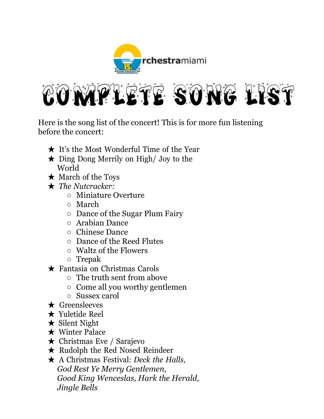



Here is the song list of the concert! This is for more fun listening before the concert:

- ★ It's the Most Wonderful Time of the Year
- ★ Ding Dong Merrily on High/ Joy to the World
- ★ March of the Toys
- ★ *The Nutcracker:*
	- Miniature Overture
	- March
	- Dance of the Sugar Plum Fairy
	- Arabian Dance
	- Chinese Dance
	- Dance of the Reed Flutes
	- Waltz of the Flowers
	- Trepak
- ★ Fantasia on Christmas Carols
	- The truth sent from above
	- Come all you worthy gentlemen
	- Sussex carol
- ★ Greensleeves
- ★ Yuletide Reel
- ★ Silent Night
- ★ Winter Palace
- ★ Christmas Eve / Sarajevo
- ★ Rudolph the Red Nosed Reindeer
- ★ A Christmas Festival: *Deck the Halls, God Rest Ye Merry Gentlemen, Good King Wenceslas, Hark the Herald, Jingle Bells*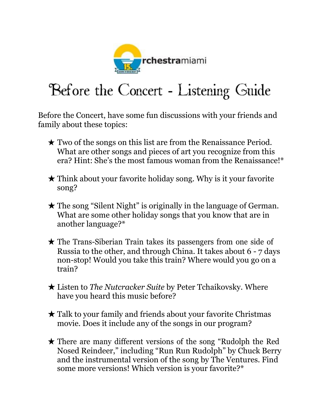

# Before the Concert - Listening Guide

Before the Concert, have some fun discussions with your friends and family about these topics:

- $\star$  Two of the songs on this list are from the Renaissance Period. What are other songs and pieces of art you recognize from this era? Hint: She's the most famous woman from the Renaissance!\*
- $\star$  Think about your favorite holiday song. Why is it your favorite song?
- ★ The song "Silent Night" is originally in the language of German. What are some other holiday songs that you know that are in another language?\*
- ★ The Trans-Siberian Train takes its passengers from one side of Russia to the other, and through China. It takes about 6 - 7 days non-stop! Would you take this train? Where would you go on a train?
- ★ Listen to *The Nutcracker Suite* by Peter Tchaikovsky. Where have you heard this music before?
- ★ Talk to your family and friends about your favorite Christmas movie. Does it include any of the songs in our program?
- ★ There are many different versions of the song "Rudolph the Red Nosed Reindeer," including "Run Run Rudolph" by Chuck Berry and the instrumental version of the song by The Ventures. Find some more versions! Which version is your favorite?\*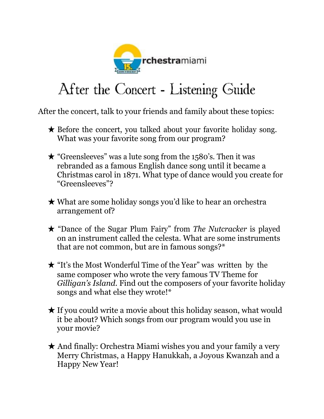

## After the Concert - Listening Guide

After the concert, talk to your friends and family about these topics:

- $\star$  Before the concert, you talked about your favorite holiday song. What was your favorite song from our program?
- $\star$  "Greensleeves" was a lute song from the 1580's. Then it was rebranded as a famous English dance song until it became a Christmas carol in 1871. What type of dance would you create for "Greensleeves"?
- ★ What are some holiday songs you'd like to hear an orchestra arrangement of?
- ★ "Dance of the Sugar Plum Fairy" from *The Nutcracker* is played on an instrument called the celesta. What are some instruments that are not common, but are in famous songs?\*
- ★ "It's the Most Wonderful Time of the Year" was written by the same composer who wrote the very famous TV Theme for *Gilligan's Island.* Find out the composers of your favorite holiday songs and what else they wrote!\*
- $\star$  If you could write a movie about this holiday season, what would it be about? Which songs from our program would you use in your movie?
- ★ And finally: Orchestra Miami wishes you and your family a very Merry Christmas, a Happy Hanukkah, a Joyous Kwanzah and a Happy New Year!